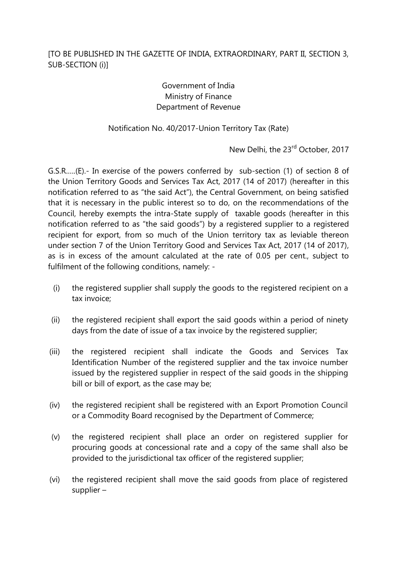## Government of India Ministry of Finance Department of Revenue

## Notification No. 40/2017-Union Territory Tax (Rate)

New Delhi, the 23<sup>rd</sup> October, 2017

G.S.R.….(E).- In exercise of the powers conferred by sub-section (1) of section 8 of the Union Territory Goods and Services Tax Act, 2017 (14 of 2017) (hereafter in this notification referred to as "the said Act"), the Central Government, on being satisfied that it is necessary in the public interest so to do, on the recommendations of the Council, hereby exempts the intra-State supply of taxable goods (hereafter in this notification referred to as "the said goods") by a registered supplier to a registered recipient for export, from so much of the Union territory tax as leviable thereon under section 7 of the Union Territory Good and Services Tax Act, 2017 (14 of 2017), as is in excess of the amount calculated at the rate of 0.05 per cent., subject to fulfilment of the following conditions, namely: -

- (i) the registered supplier shall supply the goods to the registered recipient on a tax invoice;
- (ii) the registered recipient shall export the said goods within a period of ninety days from the date of issue of a tax invoice by the registered supplier;
- (iii) the registered recipient shall indicate the Goods and Services Tax Identification Number of the registered supplier and the tax invoice number issued by the registered supplier in respect of the said goods in the shipping bill or bill of export, as the case may be;
- (iv) the registered recipient shall be registered with an Export Promotion Council or a Commodity Board recognised by the Department of Commerce;
- (v) the registered recipient shall place an order on registered supplier for procuring goods at concessional rate and a copy of the same shall also be provided to the jurisdictional tax officer of the registered supplier;
- (vi) the registered recipient shall move the said goods from place of registered supplier –